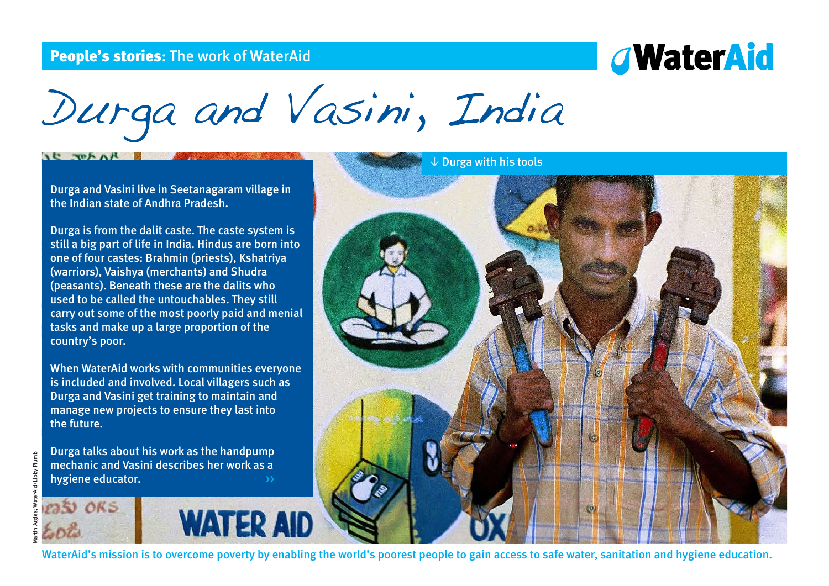## People's stories: The work of WaterAid

# *G***WaterAid**

Durga and Vasini, India

Durga and Vasini live in Seetanagaram village in the Indian state of Andhra Pradesh.

 $AC$   $T^{\mu}A$ 

Durga is from the dalit caste. The caste system is still a big part of life in India. Hindus are born into one of four castes: Brahmin (priests), Kshatriya (warriors), Vaishya (merchants) and Shudra (peasants). Beneath these are the dalits who used to be called the untouchables. They still carry out some of the most poorly paid and menial tasks and make up a large proportion of the country's poor.

When WaterAid works with communities everyone is included and involved. Local villagers such as Durga and Vasini get training to maintain and manage new projects to ensure they last into the future.

Durga talks about his work as the handpump mechanic and Vasini describes her work as a hygiene educator. <br>
and the system of the system of the system of the system of the system of the system of the system of the system of the system of the system of the system of the system of the system of the system of th



**WATER AID** 



WaterAid's mission is to overcome poverty by enabling the world's poorest people to gain access to safe water, sanitation and hygiene education.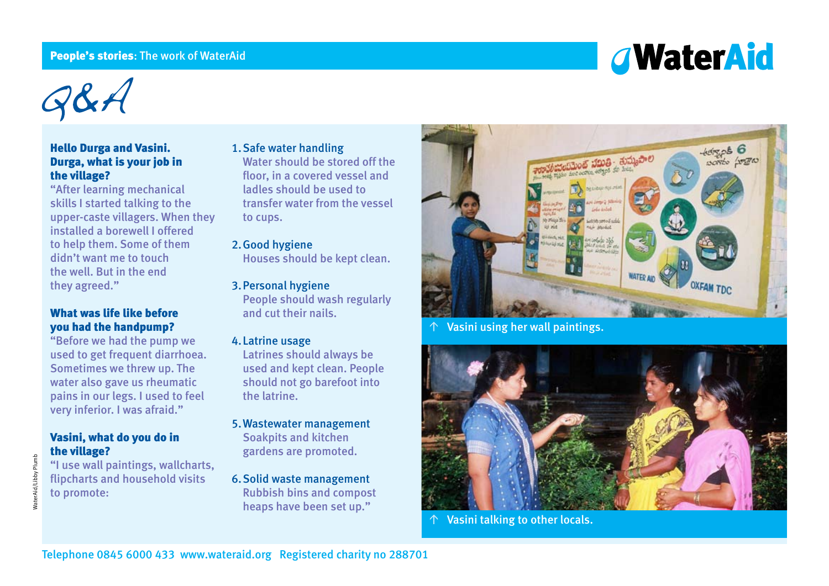### <span id="page-1-0"></span>People's stories: The work of WaterAid

# *<u>AWaterAid</u>*

 $QBA$ 

### Hello Durga and Vasini. Durga, what is your job in the village?

"After learning mechanical skills I started talking to the upper-caste villagers. When they installed a borewell I offered to help them. Some of them didn't want me to touch the well. But in the end they agreed."

## What was life like before you had the handpump?

"Before we had the pump we used to get frequent diarrhoea. Sometimes we threw up. The water also gave us rheumatic pains in our legs. I used to feel very inferior. I was afraid."

## Vasini, what do you do in the village?

"I use wall paintings, wallcharts, flipcharts and household visits to promote:

1.Safe water handling Water should be stored off the floor, in a covered vessel and ladles should be used to transfer water from the vessel to cups.

## 2.Good hygiene

Houses should be kept clean.

#### 3.Personal hygiene

People should wash regularly and cut their nails.

#### 4.Latrine usage

Latrines should always be used and kept clean. People should not go barefoot into the latrine.

- 5.Wastewater management Soakpits and kitchen gardens are promoted.
- 6.Solid waste management Rubbish bins and compost heaps have been set up."



Vasini using her wall paintings.



Vasini talking to other locals.